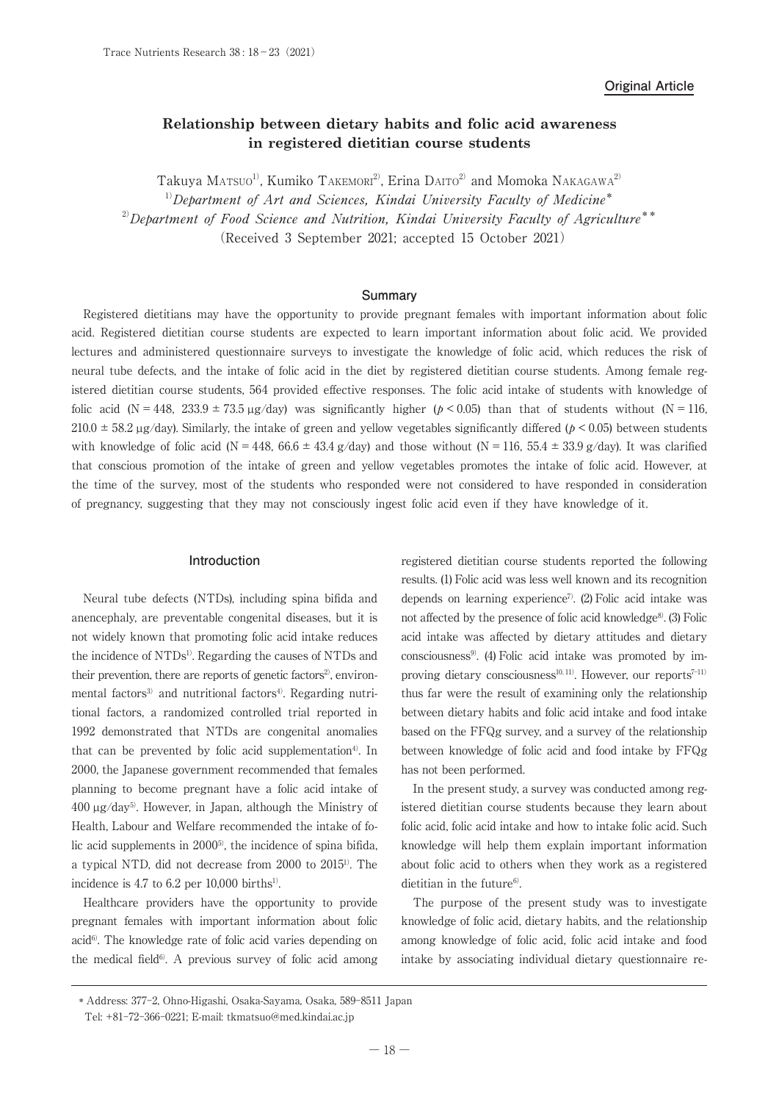# **Relationship between dietary habits and folic acid awareness in registered dietitian course students**

Takuya Matsuo<sup>1)</sup>, Kumiko Takemori<sup>2)</sup>, Erina Daito<sup>2)</sup> and Momoka Nakagawa<sup>2)</sup>  $1)$ Department of Art and Sciences, Kindai University Faculty of Medicine\*  $^{2)}$ Department of Food Science and Nutrition, Kindai University Faculty of Agriculture<sup>\*\*</sup> (Received 3 September 2021; accepted 15 October 2021)

### **Summary**

Registered dietitians may have the opportunity to provide pregnant females with important information about folic acid. Registered dietitian course students are expected to learn important information about folic acid. We provided lectures and administered questionnaire surveys to investigate the knowledge of folic acid, which reduces the risk of neural tube defects, and the intake of folic acid in the diet by registered dietitian course students. Among female registered dietitian course students, 564 provided effective responses. The folic acid intake of students with knowledge of folic acid (N = 448, 233.9 ± 73.5  $\mu$ g/day) was significantly higher ( $p < 0.05$ ) than that of students without (N = 116,  $210.0 \pm 58.2 \,\mu$ g/day). Similarly, the intake of green and yellow vegetables significantly differed ( $p < 0.05$ ) between students with knowledge of folic acid (N = 448, 66.6  $\pm$  43.4 g/day) and those without (N = 116, 55.4  $\pm$  33.9 g/day). It was clarified that conscious promotion of the intake of green and yellow vegetables promotes the intake of folic acid. However, at the time of the survey, most of the students who responded were not considered to have responded in consideration of pregnancy, suggesting that they may not consciously ingest folic acid even if they have knowledge of it.

#### **Introduction**

Neural tube defects (NTDs), including spina bifida and anencephaly, are preventable congenital diseases, but it is not widely known that promoting folic acid intake reduces the incidence of NTDs<sup>1)</sup>. Regarding the causes of NTDs and their prevention, there are reports of genetic factors<sup>2</sup>, environmental factors<sup>3)</sup> and nutritional factors<sup>4)</sup>. Regarding nutritional factors, a randomized controlled trial reported in 1992 demonstrated that NTDs are congenital anomalies that can be prevented by folic acid supplementation<sup>4)</sup>. In 2000, the Japanese government recommended that females planning to become pregnant have a folic acid intake of  $400 \mu g/day^5$ . However, in Japan, although the Ministry of Health, Labour and Welfare recommended the intake of folic acid supplements in 20005), the incidence of spina bifida, a typical NTD, did not decrease from 2000 to 20151). The incidence is  $4.7$  to  $6.2$  per  $10,000$  births<sup>1)</sup>.

Healthcare providers have the opportunity to provide pregnant females with important information about folic  $\alpha$ cid $^{6}$ ). The knowledge rate of folic acid varies depending on the medical field $6$ . A previous survey of folic acid among

registered dietitian course students reported the following results. (1) Folic acid was less well known and its recognition depends on learning experience7). (2) Folic acid intake was not affected by the presence of folic acid knowledge<sup>8</sup>. (3) Folic acid intake was affected by dietary attitudes and dietary consciousness<sup>9</sup>. (4) Folic acid intake was promoted by improving dietary consciousness<sup>10, 11</sup>). However, our reports<sup>7-11)</sup> thus far were the result of examining only the relationship between dietary habits and folic acid intake and food intake based on the FFQg survey, and a survey of the relationship between knowledge of folic acid and food intake by FFQg has not been performed.

In the present study, a survey was conducted among registered dietitian course students because they learn about folic acid, folic acid intake and how to intake folic acid. Such knowledge will help them explain important information about folic acid to others when they work as a registered dietitian in the future $6$ .

The purpose of the present study was to investigate knowledge of folic acid, dietary habits, and the relationship among knowledge of folic acid, folic acid intake and food intake by associating individual dietary questionnaire re-

 <sup>\*</sup> Address: 377-2, Ohno-Higashi, Osaka-Sayama, Osaka, 589-8511 Japan Tel: +81-72-366-0221; E-mail: tkmatsuo@med.kindai.ac.jp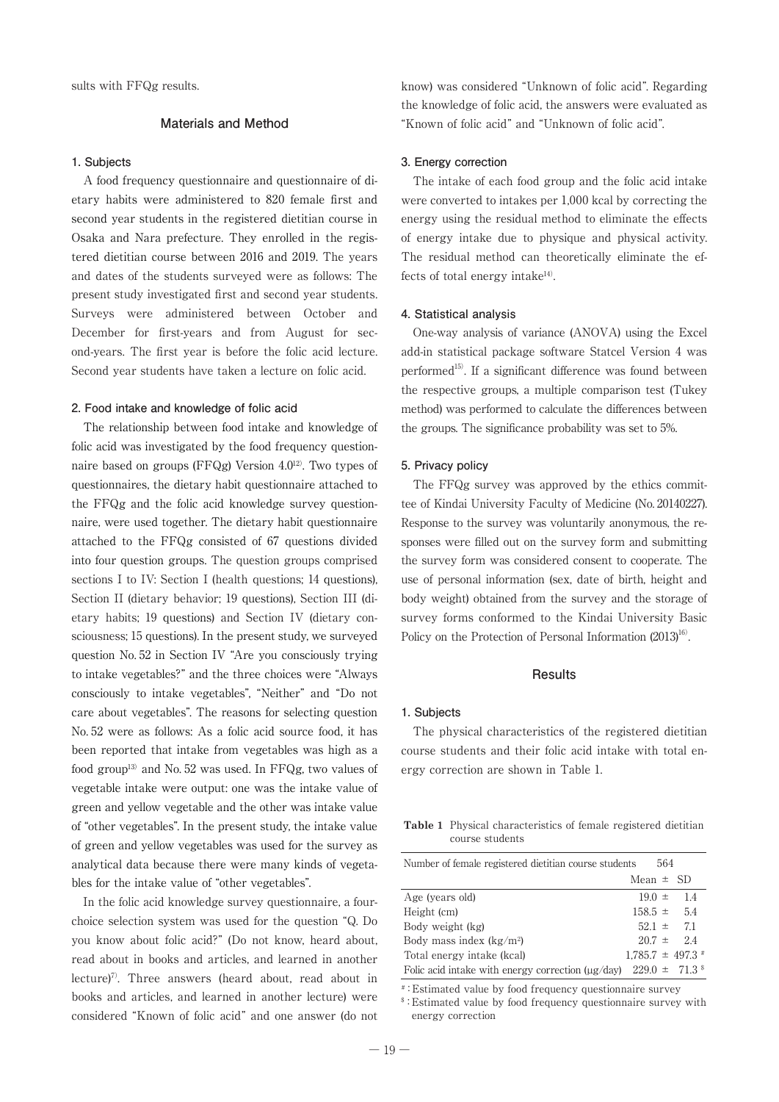## **Materials and Method**

#### **1. Subjects**

A food frequency questionnaire and questionnaire of dietary habits were administered to 820 female first and second year students in the registered dietitian course in Osaka and Nara prefecture. They enrolled in the registered dietitian course between 2016 and 2019. The years and dates of the students surveyed were as follows: The present study investigated first and second year students. Surveys were administered between October and December for first-years and from August for second-years. The first year is before the folic acid lecture. Second year students have taken a lecture on folic acid.

#### **2. Food intake and knowledge of folic acid**

The relationship between food intake and knowledge of folic acid was investigated by the food frequency questionnaire based on groups (FFQg) Version 4.012). Two types of questionnaires, the dietary habit questionnaire attached to the FFQg and the folic acid knowledge survey questionnaire, were used together. The dietary habit questionnaire attached to the FFQg consisted of 67 questions divided into four question groups. The question groups comprised sections I to IV: Section I (health questions; 14 questions), Section II (dietary behavior; 19 questions), Section III (dietary habits; 19 questions) and Section IV (dietary consciousness; 15 questions). In the present study, we surveyed question No. 52 in Section IV "Are you consciously trying to intake vegetables?" and the three choices were "Always consciously to intake vegetables", "Neither" and "Do not care about vegetables". The reasons for selecting question No. 52 were as follows: As a folic acid source food, it has been reported that intake from vegetables was high as a food group13) and No. 52 was used. In FFQg, two values of vegetable intake were output: one was the intake value of green and yellow vegetable and the other was intake value of "other vegetables". In the present study, the intake value of green and yellow vegetables was used for the survey as analytical data because there were many kinds of vegetables for the intake value of "other vegetables".

In the folic acid knowledge survey questionnaire, a fourchoice selection system was used for the question "Q. Do you know about folic acid?" (Do not know, heard about, read about in books and articles, and learned in another lecture)7). Three answers (heard about, read about in books and articles, and learned in another lecture) were considered "Known of folic acid" and one answer (do not know) was considered "Unknown of folic acid". Regarding the knowledge of folic acid, the answers were evaluated as "Known of folic acid" and "Unknown of folic acid".

#### **3. Energy correction**

The intake of each food group and the folic acid intake were converted to intakes per 1,000 kcal by correcting the energy using the residual method to eliminate the effects of energy intake due to physique and physical activity. The residual method can theoretically eliminate the effects of total energy intake<sup>14)</sup>.

#### **4. Statistical analysis**

One-way analysis of variance (ANOVA) using the Excel add-in statistical package software Statcel Version 4 was performed<sup>15)</sup>. If a significant difference was found between the respective groups, a multiple comparison test (Tukey method) was performed to calculate the differences between the groups. The significance probability was set to 5%.

### **5. Privacy policy**

The FFQg survey was approved by the ethics committee of Kindai University Faculty of Medicine (No. 20140227). Response to the survey was voluntarily anonymous, the responses were filled out on the survey form and submitting the survey form was considered consent to cooperate. The use of personal information (sex, date of birth, height and body weight) obtained from the survey and the storage of survey forms conformed to the Kindai University Basic Policy on the Protection of Personal Information  $(2013)^{16}$ .

#### **Results**

#### **1. Subjects**

The physical characteristics of the registered dietitian course students and their folic acid intake with total energy correction are shown in Table 1.

**Table 1** Physical characteristics of female registered dietitian course students

| Number of female registered dietitian course students                                  |               | 564 |                              |
|----------------------------------------------------------------------------------------|---------------|-----|------------------------------|
|                                                                                        | Mean $\pm$ SD |     |                              |
| Age (years old)                                                                        | $19.0 \pm$    |     | 14                           |
| Height (cm)                                                                            | $158.5 \pm$   |     | -54                          |
| Body weight (kg)                                                                       | $52.1 \pm$    |     | 71                           |
| Body mass index $(kg/m2)$                                                              |               |     | $207 \pm 24$                 |
| Total energy intake (kcal)                                                             |               |     | $1.785.7 \pm 497.3 \pm 1.78$ |
| Folic acid intake with energy correction ( $\mu$ g/day) 229.0 $\pm$ 71.3 $\textdegree$ |               |     |                              |

# :Estimated value by food frequency questionnaire survey

\$ :Estimated value by food frequency questionnaire survey with energy correction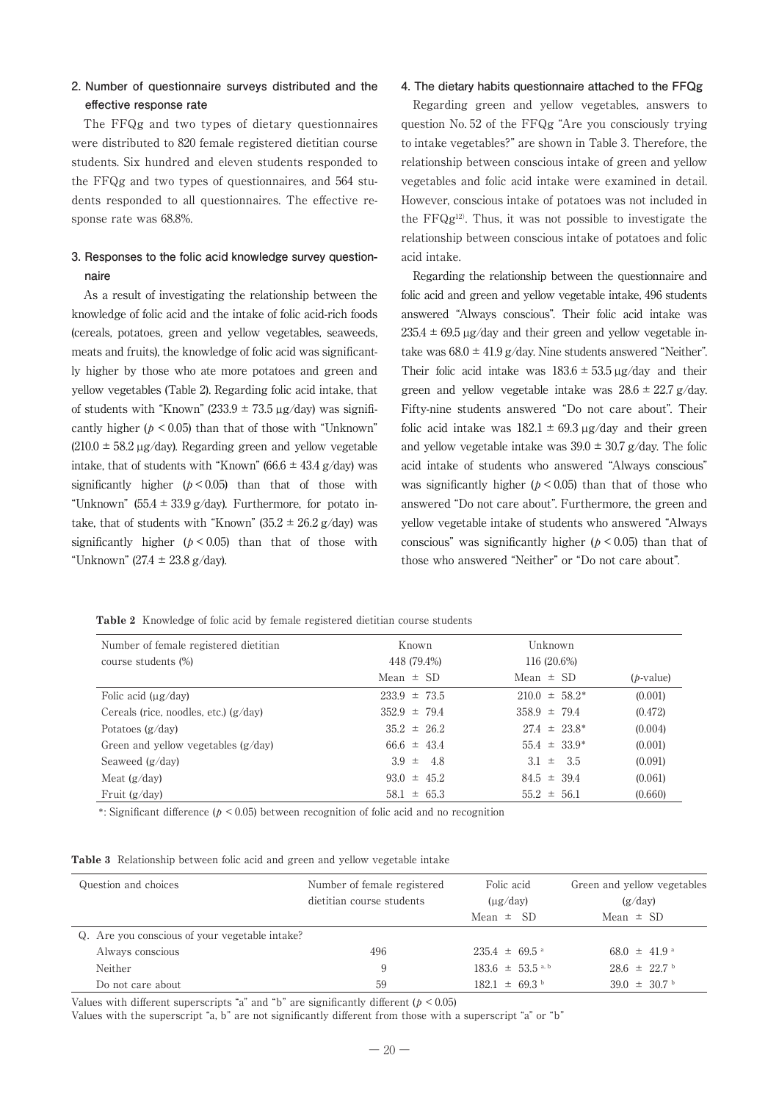# **2. Number of questionnaire surveys distributed and the effective response rate**

The FFQg and two types of dietary questionnaires were distributed to 820 female registered dietitian course students. Six hundred and eleven students responded to the FFQg and two types of questionnaires, and 564 students responded to all questionnaires. The effective response rate was 68.8%.

# **3. Responses to the folic acid knowledge survey questionnaire**

As a result of investigating the relationship between the knowledge of folic acid and the intake of folic acid-rich foods (cereals, potatoes, green and yellow vegetables, seaweeds, meats and fruits), the knowledge of folic acid was significantly higher by those who ate more potatoes and green and yellow vegetables (Table 2). Regarding folic acid intake, that of students with "Known" (233.9  $\pm$  73.5  $\mu$ g/day) was significantly higher ( $p < 0.05$ ) than that of those with "Unknown"  $(210.0 \pm 58.2 \,\mu g/day)$ . Regarding green and yellow vegetable intake, that of students with "Known" (66.6  $\pm$  43.4 g/day) was significantly higher  $(b \le 0.05)$  than that of those with "Unknown" (55.4  $\pm$  33.9 g/day). Furthermore, for potato intake, that of students with "Known"  $(35.2 \pm 26.2 \text{ g/day})$  was significantly higher  $(p < 0.05)$  than that of those with "Unknown" (27.4  $\pm$  23.8 g/day).

#### **4. The dietary habits questionnaire attached to the FFQg**

Regarding green and yellow vegetables, answers to question No. 52 of the FFQg "Are you consciously trying to intake vegetables?" are shown in Table 3. Therefore, the relationship between conscious intake of green and yellow vegetables and folic acid intake were examined in detail. However, conscious intake of potatoes was not included in the FFQg12). Thus, it was not possible to investigate the relationship between conscious intake of potatoes and folic acid intake.

Regarding the relationship between the questionnaire and folic acid and green and yellow vegetable intake, 496 students answered "Always conscious". Their folic acid intake was  $235.4 \pm 69.5 \,\mu$ g/day and their green and yellow vegetable intake was  $68.0 \pm 41.9$  g/day. Nine students answered "Neither". Their folic acid intake was  $183.6 \pm 53.5$  ug/day and their green and yellow vegetable intake was  $28.6 \pm 22.7$  g/day. Fifty-nine students answered "Do not care about". Their folic acid intake was  $182.1 \pm 69.3 \,\mu$ g/day and their green and yellow vegetable intake was  $39.0 \pm 30.7$  g/day. The folic acid intake of students who answered "Always conscious" was significantly higher ( $p < 0.05$ ) than that of those who answered "Do not care about". Furthermore, the green and yellow vegetable intake of students who answered "Always conscious" was significantly higher ( $p < 0.05$ ) than that of those who answered "Neither" or "Do not care about".

**Table 2** Knowledge of folic acid by female registered dietitian course students

| Number of female registered dietitian   | Known            | Unknown            |              |
|-----------------------------------------|------------------|--------------------|--------------|
| course students (%)                     | 448 (79.4%)      | 116 (20.6%)        |              |
|                                         | Mean $\pm$ SD    | Mean $\pm$ SD      | $(b$ -value) |
| Folic acid $(\mu g / day)$              | $233.9 \pm 73.5$ | $210.0 \pm 58.2^*$ | (0.001)      |
| Cereals (rice, noodles, etc.) $(g/day)$ | $352.9 \pm 79.4$ | $358.9 \pm 79.4$   | (0.472)      |
| Potatoes $(g/day)$                      | $35.2 \pm 26.2$  | $27.4 \pm 23.8^*$  | (0.004)      |
| Green and yellow vegetables $(g/day)$   | $66.6 \pm 43.4$  | $55.4 \pm 33.9^*$  | (0.001)      |
| Seaweed $(g/day)$                       | $3.9 \pm 4.8$    | $3.1 \pm 3.5$      | (0.091)      |
| Meat $(g/day)$                          | $93.0 \pm 45.2$  | $84.5 \pm 39.4$    | (0.061)      |
| Fruit $(g/dav)$                         | $58.1 \pm 65.3$  | $55.2 \pm 56.1$    | (0.660)      |

\*: Significant difference ( $p < 0.05$ ) between recognition of folic acid and no recognition

|  | <b>Table 3</b> Relationship between folic acid and green and yellow vegetable intake |  |  |  |  |  |  |  |  |
|--|--------------------------------------------------------------------------------------|--|--|--|--|--|--|--|--|
|--|--------------------------------------------------------------------------------------|--|--|--|--|--|--|--|--|

| Question and choices                           | Number of female registered<br>dietitian course students | Folic acid<br>$(\mu g / day)$<br>Mean $\pm$ SD | Green and yellow vegetables<br>(g/day)<br>Mean $\pm$ SD |
|------------------------------------------------|----------------------------------------------------------|------------------------------------------------|---------------------------------------------------------|
| Q. Are you conscious of your vegetable intake? |                                                          |                                                |                                                         |
| Always conscious                               | 496                                                      | $235.4 \pm 69.5$ <sup>a</sup>                  | 68.0 $\pm$ 41.9 a                                       |
| Neither                                        | 9                                                        | $183.6 \pm 53.5$ a, b                          | $28.6 \pm 22.7$                                         |
| Do not care about                              | 59                                                       | $182.1 \pm 69.3$                               | $39.0 \pm 30.7$                                         |

Values with different superscripts "a" and "b" are significantly different ( $p < 0.05$ )

Values with the superscript "a, b" are not significantly different from those with a superscript "a" or "b"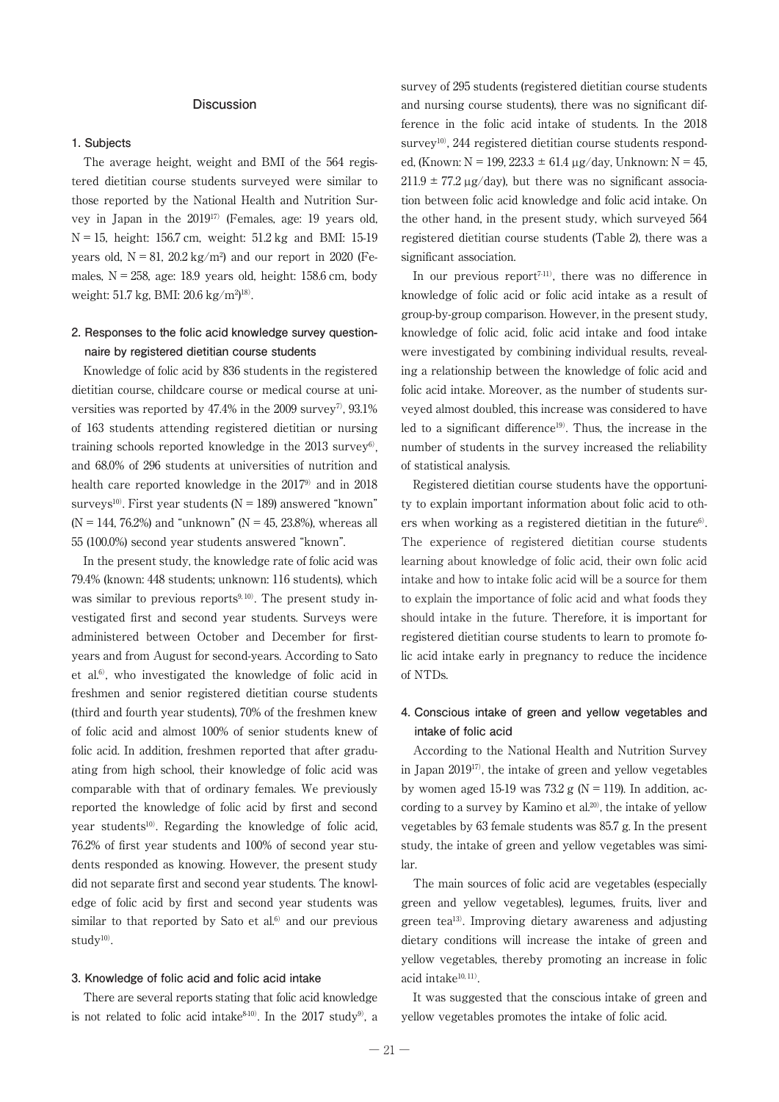### **Discussion**

#### **1. Subjects**

The average height, weight and BMI of the 564 registered dietitian course students surveyed were similar to those reported by the National Health and Nutrition Survey in Japan in the 201917) (Females, age: 19 years old,  $N = 15$ , height: 156.7 cm, weight: 51.2 kg and BMI: 15-19 years old,  $N = 81$ ,  $20.2 \text{ kg/m}^2$  and our report in 2020 (Females,  $N = 258$ , age: 18.9 years old, height: 158.6 cm, body weight: 51.7 kg, BMI: 20.6 kg/m<sup>2</sup>)<sup>18)</sup>.

## **2. Responses to the folic acid knowledge survey questionnaire by registered dietitian course students**

Knowledge of folic acid by 836 students in the registered dietitian course, childcare course or medical course at universities was reported by  $47.4\%$  in the 2009 survey<sup>7</sup>, 93.1% of 163 students attending registered dietitian or nursing training schools reported knowledge in the  $2013$  survey<sup>6</sup>, and 68.0% of 296 students at universities of nutrition and health care reported knowledge in the 20179) and in 2018 surveys<sup>10)</sup>. First year students ( $N = 189$ ) answered "known"  $(N = 144, 76.2%)$  and "unknown"  $(N = 45, 23.8%)$ , whereas all 55 (100.0%) second year students answered "known".

In the present study, the knowledge rate of folic acid was 79.4% (known: 448 students; unknown: 116 students), which was similar to previous reports $9,10$ . The present study investigated first and second year students. Surveys were administered between October and December for firstyears and from August for second-years. According to Sato et al.<sup>6)</sup>, who investigated the knowledge of folic acid in freshmen and senior registered dietitian course students (third and fourth year students), 70% of the freshmen knew of folic acid and almost 100% of senior students knew of folic acid. In addition, freshmen reported that after graduating from high school, their knowledge of folic acid was comparable with that of ordinary females. We previously reported the knowledge of folic acid by first and second year students<sup>10)</sup>. Regarding the knowledge of folic acid, 76.2% of first year students and 100% of second year students responded as knowing. However, the present study did not separate first and second year students. The knowledge of folic acid by first and second year students was similar to that reported by Sato et al. $6$ ) and our previous  $study<sup>10</sup>$ .

#### **3. Knowledge of folic acid and folic acid intake**

There are several reports stating that folic acid knowledge is not related to folic acid intake $8-10$ . In the 2017 study<sup>9</sup>, a

survey of 295 students (registered dietitian course students and nursing course students), there was no significant difference in the folic acid intake of students. In the 2018 survey<sup>10)</sup>, 244 registered dietitian course students responded, (Known:  $N = 199, 223.3 \pm 61.4 \,\mu$ g/day, Unknown:  $N = 45$ ,  $211.9 \pm 77.2 \,\mu$ g/day), but there was no significant association between folic acid knowledge and folic acid intake. On the other hand, in the present study, which surveyed 564 registered dietitian course students (Table 2), there was a significant association.

In our previous report $7-111$ , there was no difference in knowledge of folic acid or folic acid intake as a result of group-by-group comparison. However, in the present study, knowledge of folic acid, folic acid intake and food intake were investigated by combining individual results, revealing a relationship between the knowledge of folic acid and folic acid intake. Moreover, as the number of students surveyed almost doubled, this increase was considered to have led to a significant difference<sup>19)</sup>. Thus, the increase in the number of students in the survey increased the reliability of statistical analysis.

Registered dietitian course students have the opportunity to explain important information about folic acid to others when working as a registered dietitian in the future $6$ . The experience of registered dietitian course students learning about knowledge of folic acid, their own folic acid intake and how to intake folic acid will be a source for them to explain the importance of folic acid and what foods they should intake in the future. Therefore, it is important for registered dietitian course students to learn to promote folic acid intake early in pregnancy to reduce the incidence of NTDs.

# **4. Conscious intake of green and yellow vegetables and intake of folic acid**

According to the National Health and Nutrition Survey in Japan 201917), the intake of green and yellow vegetables by women aged 15-19 was 73.2 g ( $N = 119$ ). In addition, according to a survey by Kamino et al.<sup>20)</sup>, the intake of yellow vegetables by 63 female students was 85.7 g. In the present study, the intake of green and yellow vegetables was similar.

The main sources of folic acid are vegetables (especially green and yellow vegetables), legumes, fruits, liver and green tea13). Improving dietary awareness and adjusting dietary conditions will increase the intake of green and yellow vegetables, thereby promoting an increase in folic acid intake<sup>10, 11)</sup>.

It was suggested that the conscious intake of green and yellow vegetables promotes the intake of folic acid.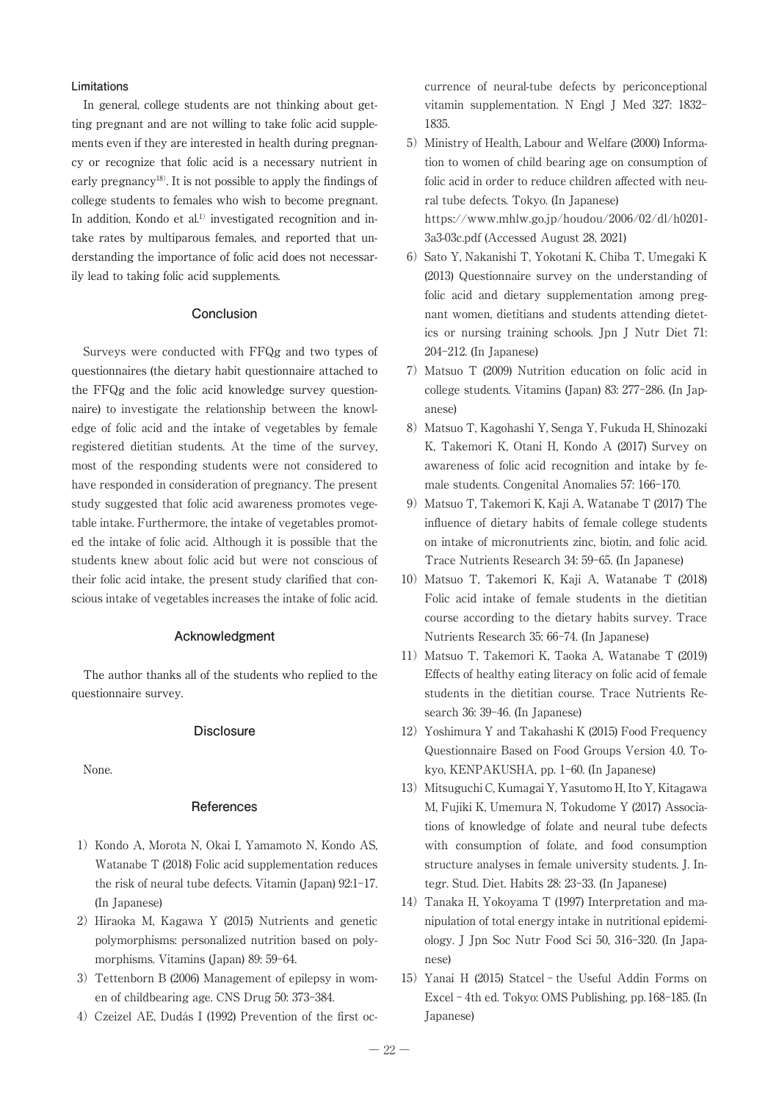#### **Limitations**

In general, college students are not thinking about getting pregnant and are not willing to take folic acid supplements even if they are interested in health during pregnancy or recognize that folic acid is a necessary nutrient in early pregnancy18). It is not possible to apply the findings of college students to females who wish to become pregnant. In addition, Kondo et al.<sup>1)</sup> investigated recognition and intake rates by multiparous females, and reported that understanding the importance of folic acid does not necessarily lead to taking folic acid supplements.

## **Conclusion**

Surveys were conducted with FFQg and two types of questionnaires (the dietary habit questionnaire attached to the FFQg and the folic acid knowledge survey questionnaire) to investigate the relationship between the knowledge of folic acid and the intake of vegetables by female registered dietitian students. At the time of the survey, most of the responding students were not considered to have responded in consideration of pregnancy. The present study suggested that folic acid awareness promotes vegetable intake. Furthermore, the intake of vegetables promoted the intake of folic acid. Although it is possible that the students knew about folic acid but were not conscious of their folic acid intake, the present study clarified that conscious intake of vegetables increases the intake of folic acid.

## **Acknowledgment**

The author thanks all of the students who replied to the questionnaire survey.

#### **Disclosure**

None.

### **References**

- 1) Kondo A, Morota N, Okai I, Yamamoto N, Kondo AS, Watanabe T (2018) Folic acid supplementation reduces the risk of neural tube defects. Vitamin (Japan) 92:1-17. (In Japanese)
- 2) Hiraoka M, Kagawa Y (2015) Nutrients and genetic polymorphisms: personalized nutrition based on polymorphisms. Vitamins (Japan) 89: 59-64.
- 3) Tettenborn B (2006) Management of epilepsy in women of childbearing age. CNS Drug 50: 373-384.
- 4) Czeizel AE, Dudás I (1992) Prevention of the first oc-

currence of neural-tube defects by periconceptional vitamin supplementation. N Engl J Med 327: 1832- 1835.

- 5) Ministry of Health, Labour and Welfare (2000) Information to women of child bearing age on consumption of folic acid in order to reduce children affected with neural tube defects. Tokyo. (In Japanese) https://www.mhlw.go.jp/houdou/2006/02/dl/h0201- 3a3-03c.pdf (Accessed August 28, 2021)
- 6) Sato Y, Nakanishi T, Yokotani K, Chiba T, Umegaki K (2013) Questionnaire survey on the understanding of folic acid and dietary supplementation among pregnant women, dietitians and students attending dietetics or nursing training schools. Jpn J Nutr Diet 71: 204-212. (In Japanese)
- 7)Matsuo T (2009) Nutrition education on folic acid in college students. Vitamins (Japan) 83: 277-286. (In Japanese)
- 8) Matsuo T, Kagohashi Y, Senga Y, Fukuda H, Shinozaki K, Takemori K, Otani H, Kondo A (2017) Survey on awareness of folic acid recognition and intake by female students. Congenital Anomalies 57: 166-170.
- 9) Matsuo T, Takemori K, Kaji A, Watanabe T (2017) The influence of dietary habits of female college students on intake of micronutrients zinc, biotin, and folic acid. Trace Nutrients Research 34: 59-65. (In Japanese)
- 10) Matsuo T, Takemori K, Kaji A, Watanabe T (2018) Folic acid intake of female students in the dietitian course according to the dietary habits survey. Trace Nutrients Research 35: 66-74. (In Japanese)
- 11) Matsuo T, Takemori K, Taoka A, Watanabe T (2019) Effects of healthy eating literacy on folic acid of female students in the dietitian course. Trace Nutrients Research 36: 39-46. (In Japanese)
- 12) Yoshimura Y and Takahashi K (2015) Food Frequency Questionnaire Based on Food Groups Version 4.0. Tokyo, KENPAKUSHA, pp. 1-60. (In Japanese)
- 13) Mitsuguchi C, Kumagai Y, Yasutomo H, Ito Y, Kitagawa M, Fujiki K, Umemura N, Tokudome Y (2017) Associations of knowledge of folate and neural tube defects with consumption of folate, and food consumption structure analyses in female university students. J. Integr. Stud. Diet. Habits 28: 23-33. (In Japanese)
- 14) Tanaka H, Yokoyama T (1997) Interpretation and manipulation of total energy intake in nutritional epidemiology. J Jpn Soc Nutr Food Sci 50, 316-320. (In Japanese)
- 15) Yanai H (2015) Statcel the Useful Addin Forms on Excel - 4th ed. Tokyo: OMS Publishing, pp. 168-185. (In Japanese)